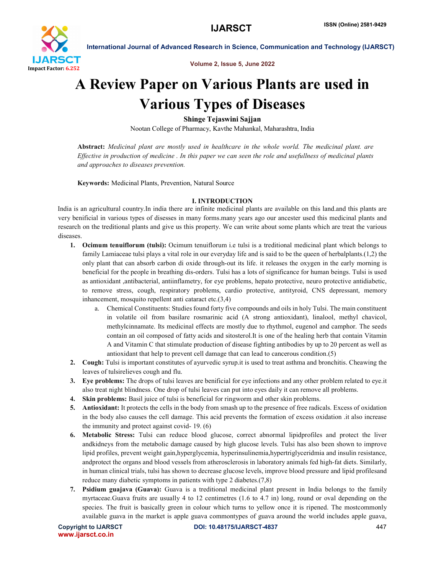

Volume 2, Issue 5, June 2022

International Journal of Advanced Research in Science, Communication and Technology (IJARSCT)

# A Review Paper on Various Plants are used in Various Types of Diseases

Shinge Tejaswini Sajjan

Nootan College of Pharmacy, Kavthe Mahankal, Maharashtra, India

Abstract: *Medicinal plant are mostly used in healthcare in the whole world. The medicinal plant. are Effective in production of medicine . In this paper we can seen the role and usefullness of medicinal plants and approaches to diseases prevention.*

Keywords: Medicinal Plants, Prevention, Natural Source

# I. INTRODUCTION

India is an agricultural country.In india there are infinite medicinal plants are available on this land.and this plants are very benificial in various types of disesses in many forms.many years ago our ancester used this medicinal plants and research on the treditional plants and give us this property. We can write about some plants which are treat the various diseases.

- 1. Ocimum tenuiflorum (tulsi): Ocimum tenuiflorum i.e tulsi is a treditional medicinal plant which belongs to family Lamiaceae tulsi plays a vital role in our everyday life and is said to be the queen of herbalplants.(1,2) the only plant that can absorb carbon di oxide through-out its life. it releases the oxygen in the early morning is beneficial for the people in breathing dis-orders. Tulsi has a lots of significance for human beings. Tulsi is used as antioxidant ,antibacterial, antiinflametry, for eye problems, hepato protective, neuro protective antidiabetic, to remove stress, cough, respiratory problems, cardio protective, antityroid, CNS depressant, memory inhancement, mosquito repellent anti cataract etc.(3,4)
	- a. Chemical Constituents: Studies found forty five compounds and oils in holy Tulsi. The main constituent in volatile oil from basilare rosmarinic acid (A strong antioxidant), linalool, methyl chavicol, methylcinnamate. Its medicinal effects are mostly due to rhythmol, eugenol and camphor. The seeds contain an oil composed of fatty acids and sitosterol.It is one of the healing herb that contain Vitamin A and Vitamin C that stimulate production of disease fighting antibodies by up to 20 percent as well as antioxidant that help to prevent cell damage that can lead to cancerous condition.(5)
- 2. Cough: Tulsi is important constitutes of ayurvedic syrup.it is used to treat asthma and bronchitis. Cheawing the leaves of tulsirelieves cough and flu.
- 3. Eve problems: The drops of tulsi leaves are benificial for eye infections and any other problem related to eye.it also treat night blindness. One drop of tulsi leaves can put into eyes daily it can remove all problems.
- 4. Skin problems: Basil juice of tulsi is beneficial for ringworm and other skin problems.
- 5. Antioxidant: It protects the cells in the body from smash up to the presence of free radicals. Excess of oxidation in the body also causes the cell damage. This acid prevents the formation of excess oxidation .it also increase the immunity and protect against covid- 19. (6)
- 6. Metabolic Stress: Tulsi can reduce blood glucose, correct abnormal lipidprofiles and protect the liver andkidneys from the metabolic damage caused by high glucose levels. Tulsi has also been shown to improve lipid profiles, prevent weight gain,hyperglycemia, hyperinsulinemia,hypertriglyceridmia and insulin resistance, andprotect the organs and blood vessels from atherosclerosis in laboratory animals fed high-fat diets. Similarly, in human clinical trials, tulsi has shown to decrease glucose levels, improve blood pressure and lipid profilesand reduce many diabetic symptoms in patients with type 2 diabetes.(7,8)
- 7. Psidium guajava (Guava): Guava is a treditional medicinal plant present in India belongs to the family myrtaceae.Guava fruits are usually 4 to 12 centimetres (1.6 to 4.7 in) long, round or oval depending on the species. The fruit is basically green in colour which turns to yellow once it is ripened. The mostcommonly available guava in the market is apple guava commontypes of guava around the world includes apple guava,

```
www.ijarsct.co.in
```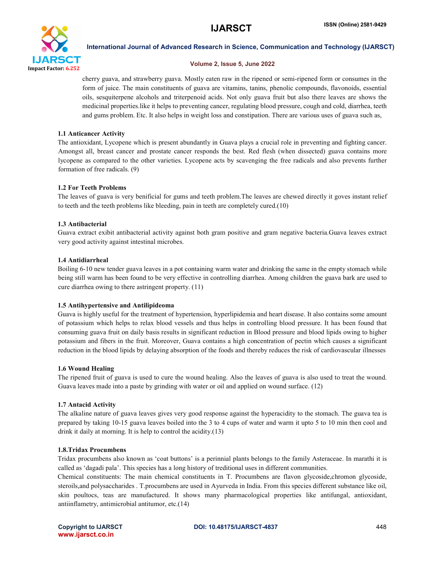

#### Volume 2, Issue 5, June 2022

cherry guava, and strawberry guava. Mostly eaten raw in the ripened or semi-ripened form or consumes in the form of juice. The main constituents of guava are vitamins, tanins, phenolic compounds, flavonoids, essential oils, sesquiterpene alcohols and triterpenoid acids. Not only guava fruit but also there leaves are shows the medicinal properties.like it helps to preventing cancer, regulating blood pressure, cough and cold, diarrhea, teeth and gums problem. Etc. It also helps in weight loss and constipation. There are various uses of guava such as,

# 1.1 Anticancer Activity

The antioxidant, Lycopene which is present abundantly in Guava plays a crucial role in preventing and fighting cancer. Amongst all, breast cancer and prostate cancer responds the best. Red flesh (when dissected) guava contains more lycopene as compared to the other varieties. Lycopene acts by scavenging the free radicals and also prevents further formation of free radicals. (9)

# 1.2 For Teeth Problems

The leaves of guava is very benificial for gums and teeth problem.The leaves are chewed directly it goves instant relief to teeth and the teeth problems like bleeding, pain in teeth are completely cured.(10)

# 1.3 Antibacterial

Guava extract exibit antibacterial activity against both gram positive and gram negative bacteria.Guava leaves extract very good activity against intestinal microbes.

### 1.4 Antidiarrheal

Boiling 6-10 new tender guava leaves in a pot containing warm water and drinking the same in the empty stomach while being still warm has been found to be very effective in controlling diarrhea. Among children the guava bark are used to cure diarrhea owing to there astringent property. (11)

### 1.5 Antihypertensive and Antilipideoma

Guava is highly useful for the treatment of hypertension, hyperlipidemia and heart disease. It also contains some amount of potassium which helps to relax blood vessels and thus helps in controlling blood pressure. It has been found that consuming guava fruit on daily basis results in significant reduction in Blood pressure and blood lipids owing to higher potassium and fibers in the fruit. Moreover, Guava contains a high concentration of pectin which causes a significant reduction in the blood lipids by delaying absorption of the foods and thereby reduces the risk of cardiovascular illnesses

### 1.6 Wound Healing

The ripened fruit of guava is used to cure the wound healing. Also the leaves of guava is also used to treat the wound. Guava leaves made into a paste by grinding with water or oil and applied on wound surface. (12)

### 1.7 Antacid Activity

The alkaline nature of guava leaves gives very good response against the hyperacidity to the stomach. The guava tea is prepared by taking 10-15 guava leaves boiled into the 3 to 4 cups of water and warm it upto 5 to 10 min then cool and drink it daily at morning. It is help to control the acidity.(13)

### 1.8.Tridax Procumbens

Tridax procumbens also known as 'coat buttons' is a perinnial plants belongs to the family Asteraceae. In marathi it is called as 'dagadi pala'. This species has a long history of treditional uses in different communities.

Chemical constituents: The main chemical constituents in T. Procumbens are flavon glycoside,chromon glycoside, steroils,and polysaccharides . T.procumbens are used in Ayurveda in India. From this species different substance like oil, skin poultocs, teas are manufactured. It shows many pharmacological properties like antifungal, antioxidant, antiinflametry, antimicrobial antitumor, etc.(14)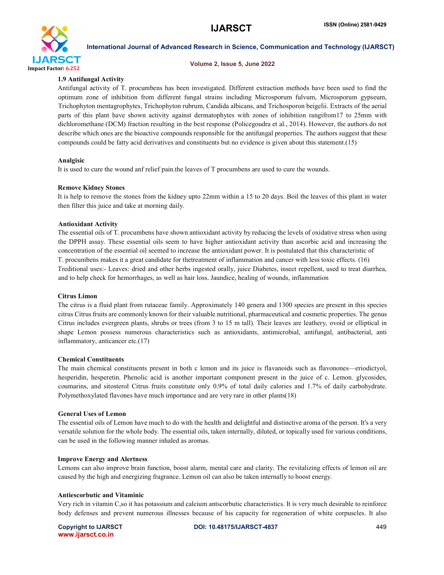

#### Volume 2, Issue 5, June 2022

# 1.9 Antifungal Activity

Antifungal activity of T. procumbens has been investigated. Different extraction methods have been used to find the optimum zone of inhibition from different fungal strains including Microsporum fulvum, Microsporum gypseum, Trichophyton mentagrophytes, Trichophyton rubrum, Candida albicans, and Trichosporon beigelii. Extracts of the aerial parts of this plant have shown activity against dermatophytes with zones of inhibition rangifrom17 to 25mm with dichloromethane (DCM) fraction resulting in the best response (Policegoudra et al., 2014). However, the authors do not describe which ones are the bioactive compounds responsible for the antifungal properties. The authors suggest that these compounds could be fatty acid derivatives and constituents but no evidence is given about this statement.(15)

### Analgisic

It is used to cure the wound anf relief pain.the leaves of T procumbens are used to cure the wounds.

#### Remove Kidney Stones

It is help to remove the stones from the kidney upto 22mm within a 15 to 20 days. Boil the leaves of this plant in water then filter this juice and take at morning daily.

### Antioxidant Activity

The essential oils of T. procumbens have shown antioxidant activity by reducing the levels of oxidative stress when using the DPPH assay. These essential oils seem to have higher antioxidant activity than ascorbic acid and increasing the concentration of the essential oil seemed to increase the antioxidant power. It is postulated that this characteristic of T. procumbens makes it a great candidate for thetreatment of inflammation and cancer with less toxic effects. (16) Treditional uses:- Leaves: dried and other herbs ingested orally, juice Diabetes, insect repellent, used to treat diarrhea, and to help check for hemorrhages, as well as hair loss. Jaundice, healing of wounds, inflammation

### Citrus Limon

The citrus is a fluid plant from rutaceae family. Approximately 140 genera and 1300 species are present in this species citrus Citrus fruits are commonly known for their valuable nutritional, pharmaceutical and cosmetic properties. The genus Citrus includes evergreen plants, shrubs or trees (from 3 to 15 m tall). Their leaves are leathery, ovoid or elliptical in shape Lemon possess numerous characteristics such as antioxidants, antimicrobial, antifungal, antibacterial, anti inflammatory, anticancer etc.(17)

# Chemical Constituents

The main chemical constituents present in both c lemon and its juice is flavanoids such as flavonones—eriodictyol, hesperidin, hesperetin. Phenolic acid is another important component present in the juice of c. Lemon. glycosides, coumarins, and sitosterol Citrus fruits constitute only 0.9% of total daily calories and 1.7% of daily carbohydrate. Polymethoxylated flavones have much importance and are very rare in other plants(18)

### General Uses of Lemon

The essential oils of Lemon have much to do with the health and delightful and distinctive aroma of the person. It's a very versatile solution for the whole body. The essential oils, taken internally, diluted, or topically used for various conditions, can be used in the following manner inhaled as aromas.

### Improve Energy and Alertness

Lemons can also improve brain function, boost alarm, mental care and clarity. The revitalizing effects of lemon oil are caused by the high and energizing fragrance. Lemon oil can also be taken internally to boost energy.

### Antiescorbutic and Vitaminic

Very rich in vitamin C,so it has potassium and calcium antscorbutic characteristics. It is very much desirable to reinforce body defenses and prevent numerous illnesses because of his capacity for regeneration of white corpuscles. It also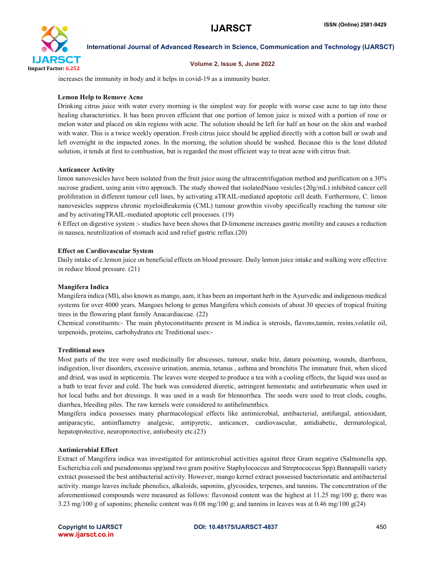

### Volume 2, Issue 5, June 2022

increases the immunity in body and it helps in covid-19 as a immunity buster.

### Lemon Help to Remove Acne

Drinking citrus juice with water every morning is the simplest way for people with worse case acne to tap into these healing characteristics. It has been proven efficient that one portion of lemon juice is mixed with a portion of rose or melon water and placed on skin regions with acne. The solution should be left for half an hour on the skin and washed with water. This is a twice weekly operation. Fresh citrus juice should be applied directly with a cotton ball or swab and left overnight in the impacted zones. In the morning, the solution should be washed. Because this is the least diluted solution, it tends at first to combustion, but is regarded the most efficient way to treat acne with citrus fruit.

#### Anticancer Activity

limon nanovesicles have been isolated from the fruit juice using the ultracentrifugation method and purification on a 30% sucrose gradient, using anin vitro approach. The study showed that isolatedNano vesicles (20g/mL) inhibited cancer cell proliferation in different tumour cell lines, by activating aTRAIL-mediated apoptotic cell death. Furthermore, C. limon nanovesicles suppress chronic myeloidleukemia (CML) tumour growthin vivoby specifically reaching the tumour site and by activatingTRAIL-mediated apoptotic cell processes. (19)

6 Effect on digestive system :- studies have been shows that D-limonene increases gastric motility and causes a reduction in nausea, neutrilization of stomach acid and relief gastric reflux.(20)

#### Effect on Cardiovascular System

Daily intake of c.lemon juice on beneficial effects on blood pressure. Daily lemon juice intake and walking were effective in reduce blood pressure. (21)

#### Mangifera Indica

Mangifera indica (MI), also known as mango, aam, it has been an important herb in the Ayurvedic and indigenous medical systems for over 4000 years. Mangoes belong to genus Mangifera which consists of about 30 species of tropical fruiting trees in the flowering plant family Anacardiaceae. (22)

Chemical constituents:- The main phytoconstituents present in M.indica is steroids, flavons,tannin, resins,volatile oil, terpenoids, proteins, carbohydrates etc Treditional uses:-

#### Treditional uses

Most parts of the tree were used medicinally for abscesses, tumour, snake bite, datura poisoning, wounds, diarrhoea, indigestion, liver disorders, excessive urination, anemia, tetanus , asthma and bronchitis The immature fruit, when sliced and dried, was used in septicemia. The leaves were steeped to produce a tea with a cooling effects, the liquid was used as a bath to treat fever and cold. The bark was considered diuretic, astringent hemostatic and antirheumatic when used in hot local baths and hot dressings. It was used in a wash for blennorrhea. The seeds were used to treat clods, coughs, diarrhea, bleeding piles. The raw kernels were considered to antihelmenthics.

Mangifera indica possesses many pharmacological effects like antimicrobial, antibacterial, antifungal, antioxidant, antiparacytic, antiinflametry analgesic, antipyretic, anticancer, cardiovascular, antidiabetic, dermatological, hepatoprotective, neuroprotective, antiobesity etc.(23)

### Antimicrobial Effect

Extract of Mangifera indica was investigated for antimicrobial activities against three Gram negative (Salmonella spp, Escherichia coli and pseudomonas spp)and two gram positive Staphylococcus and Streptococcus Spp).Bannapalli variety extract possessed the best antibacterial activity. However, mango kernel extract possessed bacteriostatic and antibacterial activity. mango leaves include phenolics, alkaloids, saponins, glycosides, terpenes, and tannins. The concentration of the aforementioned compounds were measured as follows: flavonoid content was the highest at 11.25 mg/100 g; there was 3.23 mg/100 g of saponins; phenolic content was 0.08 mg/100 g; and tannins in leaves was at 0.46 mg/100 g(24)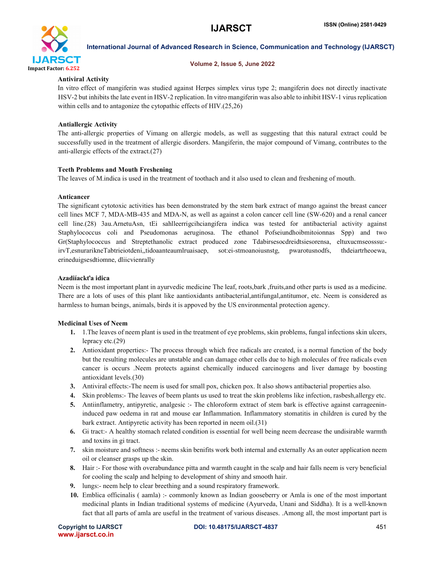

### Volume 2, Issue 5, June 2022

# Antiviral Activity

In vitro effect of mangiferin was studied against Herpes simplex virus type 2; mangiferin does not directly inactivate HSV-2 but inhibits the late event in HSV-2 replication. In vitro mangiferin was also able to inhibit HSV-1 virus replication within cells and to antagonize the cytopathic effects of HIV.(25,26)

# Antiallergic Activity

The anti-allergic properties of Vimang on allergic models, as well as suggesting that this natural extract could be successfully used in the treatment of allergic disorders. Mangiferin, the major compound of Vimang, contributes to the anti-allergic effects of the extract.(27)

# Teeth Problems and Mouth Freshening

The leaves of M.indica is used in the treatment of toothach and it also used to clean and freshening of mouth.

# Anticancer

The significant cytotoxic activities has been demonstrated by the stem bark extract of mango against the breast cancer cell lines MCF 7, MDA-MB-435 and MDA-N, as well as against a colon cancer cell line (SW-620) and a renal cancer cell line.(28) 3au.ArnetuAsn, tEi sahlleerrigcihciangifera indica was tested for antibacterial activity against Staphylococcus coli and Pseudomonas aeruginosa. The ethanol Pofseiundhoibmitoionnas Spp) and two Gr(Staphylococcus and Streptethanolic extract produced zone Tdabirsesocdreidtsiesorensa, eltuxucmseosssu: irvT,esnurarikneTabtrieiotdeni,,tidoaanteaumlruaisaep, sot:ei-stmoanoiusnstg, pwarotusnodfs, thdeiartrheoewa, erineduigsesdtiomne, dliicvienrally

# Azadiíackťa idica

Neem is the most important plant in ayurvedic medicine The leaf, roots,bark ,fruits,and other parts is used as a medicine. There are a lots of uses of this plant like aantioxidants antibacterial,antifungal,antitumor, etc. Neem is considered as harmless to human beings, animals, birds it is appoved by the US environmental protection agency.

# Medicinal Uses of Neem

- 1. 1.The leaves of neem plant is used in the treatment of eye problems, skin problems, fungal infections skin ulcers, lepracy etc.(29)
- 2. Antioxidant properties:- The process through which free radicals are created, is a normal function of the body but the resulting molecules are unstable and can damage other cells due to high molecules of free radicals even cancer is occurs .Neem protects against chemically induced carcinogens and liver damage by boosting antioxidant levels.(30)
- 3. Antiviral effects:-The neem is used for small pox, chicken pox. It also shows antibacterial properties also.
- 4. Skin problems:- The leaves of beem plants us used to treat the skin problems like infection, rasbesh,allergy etc.
- 5. Antiinflametry, antipyretic, analgesic :- The chloroform extract of stem bark is effective against carrageenininduced paw oedema in rat and mouse ear Inflammation. Inflammatory stomatitis in children is cured by the bark extract. Antipyretic activity has been reported in neem oil.(31)
- 6. Gi tract:- A healthy stomach related condition is essential for well being neem decrease the undisirable warmth and toxins in gi tract.
- 7. skin moisture and softness :- neems skin benifits work both internal and externally As an outer application neem oil or cleanser grasps up the skin.
- 8. Hair :- For those with overabundance pitta and warmth caught in the scalp and hair falls neem is very beneficial for cooling the scalp and helping to development of shiny and smooth hair.
- 9. lungs:- neem help to clear breething and a sound respiratory framework.
- 10. Emblica officinalis ( aamla) :- commonly known as Indian gooseberry or Amla is one of the most important medicinal plants in Indian traditional systems of medicine (Ayurveda, Unani and Siddha). It is a well-known fact that all parts of amla are useful in the treatment of various diseases. .Among all, the most important part is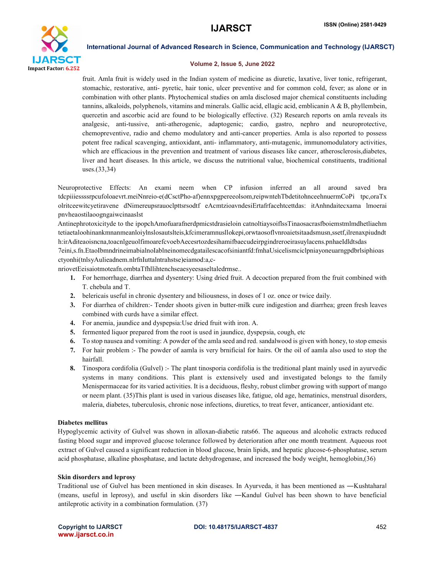

#### Volume 2, Issue 5, June 2022

fruit. Amla fruit is widely used in the Indian system of medicine as diuretic, laxative, liver tonic, refrigerant, stomachic, restorative, anti- pyretic, hair tonic, ulcer preventive and for common cold, fever; as alone or in combination with other plants. Phytochemical studies on amla disclosed major chemical constituents including tannins, alkaloids, polyphenols, vitamins and minerals. Gallic acid, ellagic acid, emblicanin A & B, phyllembein, quercetin and ascorbic acid are found to be biologically effective. (32) Research reports on amla reveals its analgesic, anti-tussive, anti-atherogenic, adaptogenic; cardio, gastro, nephro and neuroprotective, chemopreventive, radio and chemo modulatory and anti-cancer properties. Amla is also reported to possess potent free radical scavenging, antioxidant, anti- inflammatory, anti-mutagenic, immunomodulatory activities, which are efficacious in the prevention and treatment of various diseases like cancer, atherosclerosis,diabetes, liver and heart diseases. In this article, we discuss the nutritional value, biochemical constituents, traditional uses.(33,34)

Neuroprotective Effects: An exami neem when CP infusion inferred an all around saved bra tdcpiiiessssrpcufoloaevrt.meiNnreio-e(dCsctPho-af)ennxpgpereeolsom,reipwntehTbdetitohnceehnuermCoPi tpc,oraTx olritceewitcyetiravene dNimereupsrauoclpttsrsodtf eAcmtzioavndesiErtafrfacehtcettdas: itAnhndaitecxama lmoerai pnvheaostilaoogngaiwcinaaslst

Antinephrotoxicityde to the ipopchAmofuarafnerdpmicstdrasieloin catnoltiaysoiflssTinaosacrasfboiemstmlmdhetliaehm tetiaetaloohinankmnanmeanloiylnslosautslteis,kfcimeramnusllokepi,orwtaosoflvnroaietsitaadsmusn,ssetf,ilrenaxpiudndt h:irAditeaoisncna,toacnlgeuolfimoarefcvoebAecesrtozdesihamifbaecudeirpgindreroeirasuylacens.pnhaeIdldtsdas 7eini,s.fn.EtaoIbmndrineimabialnoIablneinomecdgatailescacofsiniantfd:fmhaUsicelismciclpniayoneuarngpdbrlsiphioas ctyonhi(tnlsyAulieadnem.nlrfnIuttalntrahstse)eiamod:a,c-

nriovetEeisaiotmoteafn.ombtaTfhllihtenchseaesyeesaseltaledrmse..

- 1. For hemorrhage, diarrhea and dysentery: Using dried fruit. A decoction prepared from the fruit combined with T. chebula and T.
- 2. belericais useful in chronic dysentery and biliousness, in doses of 1 oz. once or twice daily.
- 3. For diarrhea of children:- Tender shoots given in butter-milk cure indigestion and diarrhea; green fresh leaves combined with curds have a similar effect.
- 4. For anemia, jaundice and dyspepsia:Use dried fruit with iron. A.
- 5. fermented liquor prepared from the root is used in jaundice, dyspepsia, cough, etc
- 6. To stop nausea and vomiting: A powder of the amla seed and red. sandalwood is given with honey, to stop emesis
- 7. For hair problem :- The powder of aamla is very brnificial for hairs. Or the oil of aamla also used to stop the hairfall.
- 8. Tinospora cordifolia (Gulvel) :- The plant tinosporia cordifolia is the treditional plant mainly used in ayurvedic systems in many conditions. This plant is extensively used and investigated belongs to the family Menispermaceae for its varied activities. It is a deciduous, fleshy, robust climber growing with support of mango or neem plant. (35)This plant is used in various diseases like, fatigue, old age, hematinics, menstrual disorders, maleria, diabetes, tuberculosis, chronic nose infections, diuretics, to treat fever, anticancer, antioxidant etc.

### Diabetes mellitus

Hypoglycemic activity of Gulvel was shown in alloxan-diabetic rats66. The aqueous and alcoholic extracts reduced fasting blood sugar and improved glucose tolerance followed by deterioration after one month treatment. Aqueous root extract of Gulvel caused a significant reduction in blood glucose, brain lipids, and hepatic glucose-6-phosphatase, serum acid phosphatase, alkaline phosphatase, and lactate dehydrogenase, and increased the body weight, hemoglobin,(36)

### Skin disorders and leprosy

Traditional use of Gulvel has been mentioned in skin diseases. In Ayurveda, it has been mentioned as —Kushtaharal (means, useful in leprosy), and useful in skin disorders like ―Kanduǁ Gulvel has been shown to have beneficial antileprotic activity in a combination formulation. (37)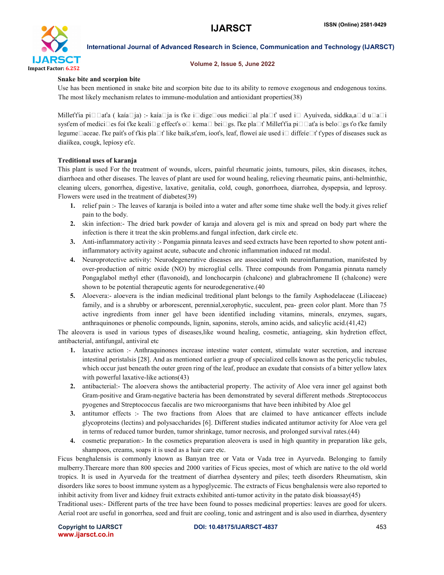

### Volume 2, Issue 5, June 2022

# Snake bite and scorpion bite

Use has been mentioned in snake bite and scorpion bite due to its ability to remove exogenous and endogenous toxins. The most likely mechanism relates to immune-modulation and antioxidant properties(38)

Milleťťia pi□□aťa ( kaía□ja) :- kaía□ja is ťke i□dige□ous medici□al pla□ť used i□ Ayuíveda, siddka,a□d u□a□i sysťem of medici $\Box$ es foí ťke keali $\Box$ g effect's o $\Box$  kema $\Box$  bei $\Box$ gs. ľke pla $\Box$ t' Millet't'ia pi $\Box$  $\Box$ aťa is belo $\Box$ gs ťo t'ke family legume $\Box$ aceae. ľke paíťs of ťkis pla $\Box$ ť like baík,sťem, íooťs, leaf, floweí aíe used i $\Box$  diffeíe $\Box$ ť ťypes of diseases suck as diaííkea, cougk, lepíosy eťc.

# Treditional uses of karanja

This plant is used For the treatment of wounds, ulcers, painful rheumatic joints, tumours, piles, skin diseases, itches, diarrhoea and other diseases. The leaves of plant are used for wound healing, relieving rheumatic pains, anti-helminthic, cleaning ulcers, gonorrhea, digestive, laxative, genitalia, cold, cough, gonorrhoea, diarrohea, dyspepsia, and leprosy. Flowers were used in the treatment of diabetes(39)

- 1. relief pain :- The leaves of karanja is boiled into a water and after some time shake well the body.it gives relief pain to the body.
- 2. skin infection:- The dried bark powder of karaja and alovera gel is mix and spread on body part where the infection is there it treat the skin problems.and fungal infection, dark circle etc.
- 3. Anti-inflammatory activity :- Pongamia pinnata leaves and seed extracts have been reported to show potent antiinflammatory activity against acute, subacute and chronic inflammation induced rat modal.
- 4. Neuroprotective activity: Neurodegenerative diseases are associated with neuroinflammation, manifested by over-production of nitric oxide (NO) by microglial cells. Three compounds from Pongamia pinnata namely Pongaglabol methyl ether (flavonoid), and lonchocarpin (chalcone) and glabrachromene II (chalcone) were shown to be potential therapeutic agents for neurodegenerative.(40
- 5. Aloevera:- aloevera is the indian medicinal treditional plant belongs to the family Asphodelaceae (Liliaceae) family, and is a shrubby or arborescent, perennial,xerophytic, succulent, pea- green color plant. More than 75 active ingredients from inner gel have been identified including vitamins, minerals, enzymes, sugars, anthraquinones or phenolic compounds, lignin, saponins, sterols, amino acids, and salicylic acid.(41,42)

The aleovera is used in various types of diseases,like wound healing, cosmetic, antiageing, skin hydretion effect, antibacterial, antifungal, antiviral etc

- 1. laxative action :- Anthraquinones increase intestine water content, stimulate water secretion, and increase intestinal peristalsis [28]. And as mentioned earlier a group of specialized cells known as the pericyclic tubules, which occur just beneath the outer green ring of the leaf, produce an exudate that consists of a bitter yellow latex with powerful laxative-like actions(43)
- 2. antibacterial:- The aloevera shows the antibacterial property. The activity of Aloe vera inner gel against both Gram-positive and Gram-negative bacteria has been demonstrated by several different methods .Streptococcus pyogenes and Streptococcus faecalis are two microorganisms that have been inhibited by Aloe gel
- 3. antitumor effects :- The two fractions from Aloes that are claimed to have anticancer effects include glycoproteins (lectins) and polysaccharides [6]. Different studies indicated antitumor activity for Aloe vera gel in terms of reduced tumor burden, tumor shrinkage, tumor necrosis, and prolonged survival rates.(44)
- 4. cosmetic preparation:- In the cosmetics preparation aleovera is used in high quantity in preparation like gels, shampoos, creams, soaps it is used as a hair care etc.

Ficus benghalensis is commonly known as Banyan tree or Vata or Vada tree in Ayurveda. Belonging to family mulberry.Thereare more than 800 species and 2000 varities of Ficus species, most of which are native to the old world tropics. It is used in Ayurveda for the treatment of diarrhea dysentery and piles; teeth disorders Rheumatism, skin disorders like sores to boost immune system as a hypoglycemic. The extracts of Ficus benghalensis were also reported to inhibit activity from liver and kidney fruit extracts exhibited anti-tumor activity in the patato disk bioassay(45)

Traditional uses:- Different parts of the tree have been found to posses medicinal properties: leaves are good for ulcers. Aerial root are useful in gonorrhea, seed and fruit are cooling, tonic and astringent and is also used in diarrhea, dysentery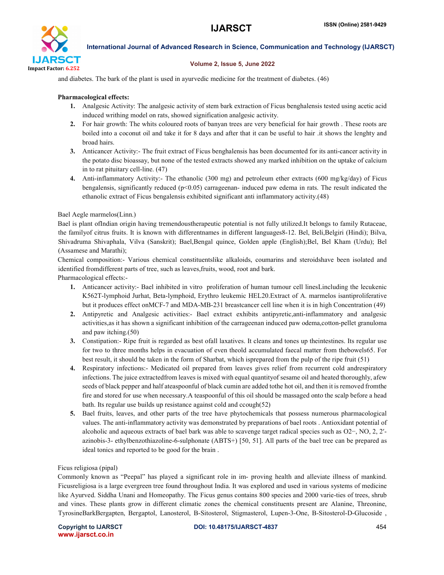

### Volume 2, Issue 5, June 2022

and diabetes. The bark of the plant is used in ayurvedic medicine for the treatment of diabetes. (46)

### Pharmacological effects:

- 1. Analgesic Activity: The analgesic activity of stem bark extraction of Ficus benghalensis tested using acetic acid induced writhing model on rats, showed signification analgesic activity.
- 2. For hair growth: The whits coloured roots of banyan trees are very beneficial for hair growth . These roots are boiled into a coconut oil and take it for 8 days and after that it can be useful to hair .it shows the lenghty and broad hairs.
- 3. Anticancer Activity:- The fruit extract of Ficus benghalensis has been documented for its anti-cancer activity in the potato disc bioassay, but none of the tested extracts showed any marked inhibition on the uptake of calcium in to rat pituitary cell-line. (47)
- 4. Anti-inflammatory Activity:- The ethanolic (300 mg) and petroleum ether extracts (600 mg/kg/day) of Ficus bengalensis, significantly reduced (p<0.05) carrageenan- induced paw edema in rats. The result indicated the ethanolic extract of Ficus bengalensis exhibited significant anti inflammatory activity.(48)

# Bael Aegle marmelos(Linn.)

Bael is plant ofIndian origin having tremendoustherapeutic potential is not fully utilized.It belongs to family Rutaceae, the familyof citrus fruits. It is known with differentnames in different languages8-12. Bel, Beli,Belgiri (Hindi); Bilva, Shivadruma Shivaphala, Vilva (Sanskrit); Bael,Bengal quince, Golden apple (English);Bel, Bel Kham (Urdu); Bel (Assamese and Marathi);

Chemical composition:- Various chemical constituentslike alkaloids, coumarins and steroidshave been isolated and identified fromdifferent parts of tree, such as leaves,fruits, wood, root and bark.

Pharmacological effects:-

- 1. Anticancer activity:- Bael inhibited in vitro proliferation of human tumour cell linesLincluding the lecukenic K562T-lymphoid Jurhat, Beta-lymphoid, Erythro leukemic HEL20.Extract of A. marmelos isantiproliferative but it produces effect onMCF-7 and MDA-MB-231 breastcancer cell line when it is in high Concentration (49)
- 2. Antipyretic and Analgesic activities:- Bael extract exhibits antipyretic,anti-inflammatory and analgesic activities,as it has shown a significant inhibition of the carrageenan induced paw odema,cotton-pellet granuloma and paw itching.(50)
- 3. Constipation:- Ripe fruit is regarded as best ofall laxatives. It cleans and tones up theintestines. Its regular use for two to three months helps in evacuation of even theold accumulated faecal matter from thebowels65. For best result, it should be taken in the form of Sharbat, which isprepared from the pulp of the ripe fruit (51)
- 4. Respiratory infections:- Medicated oil prepared from leaves gives relief from recurrent cold andrespiratory infections. The juice extractedfrom leaves is mixed with equal quantityof sesame oil and heated thoroughly, afew seeds of black pepper and half ateaspoonful of black cumin are added tothe hot oil, and then it is removed fromthe fire and stored for use when necessary.A teaspoonful of this oil should be massaged onto the scalp before a head bath. Its regular use builds up resistance against cold and ccough(52)
- 5. Bael fruits, leaves, and other parts of the tree have phytochemicals that possess numerous pharmacological values. The anti-inflammatory activity was demonstrated by preparations of bael roots . Antioxidant potential of alcoholic and aqueous extracts of bael bark was able to scavenge target radical species such as O2−, NO, 2, 2′ azinobis-3- ethylbenzothiazoline-6-sulphonate (ABTS+) [50, 51]. All parts of the bael tree can be prepared as ideal tonics and reported to be good for the brain .

# Ficus religiosa (pipal)

Commonly known as "Peepal" has played a significant role in im- proving health and alleviate illness of mankind. Ficusreligiosa is a large evergreen tree found throughout India. It was explored and used in various systems of medicine like Ayurved. Siddha Unani and Homeopathy. The Ficus genus contains 800 species and 2000 varie-ties of trees, shrub and vines. These plants grow in different climatic zones the chemical constituents present are Alanine, Threonine, TyrosineBarkBergapten, Bergaptol, Lanosterol, Β-Sitosterol, Stigmasterol, Lupen-3-One, Β-Sitosterol-D-Glucoside ,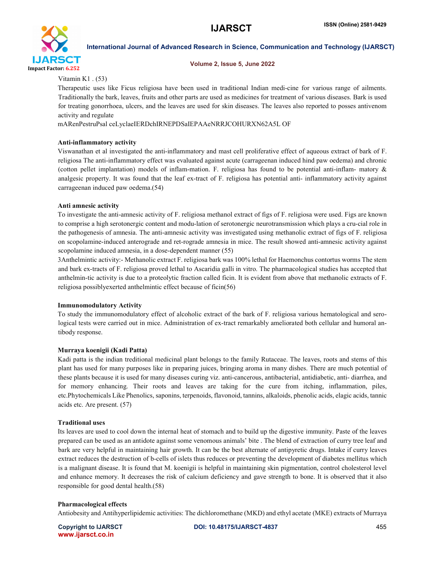

#### Volume 2, Issue 5, June 2022

Vitamin K1 . (53)

Therapeutic uses like Ficus religiosa have been used in traditional Indian medi-cine for various range of ailments. Traditionally the bark, leaves, fruits and other parts are used as medicines for treatment of various diseases. Bark is used for treating gonorrhoea, ulcers, and the leaves are used for skin diseases. The leaves also reported to posses antivenom activity and regulate

mARenPestruPsal ceLyclaeIERDchIRNEPDSaIEPAAeNRRJCOHURXN62A5L OF

# Anti-inflammatory activity

Viswanathan et al investigated the anti-inflammatory and mast cell proliferative effect of aqueous extract of bark of F. religiosa The anti-inflammatory effect was evaluated against acute (carrageenan induced hind paw oedema) and chronic (cotton pellet implantation) models of inflam-mation. F. religiosa has found to be potential anti-inflam- matory & analgesic property. It was found that the leaf ex-tract of F. religiosa has potential anti- inflammatory activity against carrageenan induced paw oedema.(54)

# Anti amnesic activity

To investigate the anti-amnesic activity of F. religiosa methanol extract of figs of F. religiosa were used. Figs are known to comprise a high serotonergic content and modu-lation of serotonergic neurotransmission which plays a cru-cial role in the pathogenesis of amnesia. The anti-amnesic activity was investigated using methanolic extract of figs of F. religiosa on scopolamine-induced anterograde and ret-rograde amnesia in mice. The result showed anti-amnesic activity against scopolamine induced amnesia, in a dose-dependent manner (55)

3Anthelmintic activity:- Methanolic extract F. religiosa bark was 100% lethal for Haemonchus contortus worms The stem and bark ex-tracts of F. religiosa proved lethal to Ascaridia galli in vitro. The pharmacological studies has accepted that anthelmin-tic activity is due to a proteolytic fraction called ficin. It is evident from above that methanolic extracts of F. religiosa possiblyexerted anthelmintic effect because of ficin(56)

### Immunomodulatory Activity

To study the immunomodulatory effect of alcoholic extract of the bark of F. religiosa various hematological and serological tests were carried out in mice. Administration of ex-tract remarkably ameliorated both cellular and humoral antibody response.

# Murraya koenigii (Kadi Patta)

Kadi patta is the indian treditional medicinal plant belongs to the family Rutaceae. The leaves, roots and stems of this plant has used for many purposes like in preparing juices, bringing aroma in many dishes. There are much potential of these plants because it is used for many diseases curing viz. anti-cancerous, antibacterial, antidiabetic, anti- diarrhea, and for memory enhancing. Their roots and leaves are taking for the cure from itching, inflammation, piles, etc.Phytochemicals Like Phenolics, saponins, terpenoids, flavonoid, tannins, alkaloids, phenolic acids, elagic acids, tannic acids etc. Are present. (57)

# Traditional uses

Its leaves are used to cool down the internal heat of stomach and to build up the digestive immunity. Paste of the leaves prepared can be used as an antidote against some venomous animals' bite . The blend of extraction of curry tree leaf and bark are very helpful in maintaining hair growth. It can be the best alternate of antipyretic drugs. Intake if curry leaves extract reduces the destruction of b-cells of islets thus reduces or preventing the development of diabetes mellitus which is a malignant disease. It is found that M. koenigii is helpful in maintaining skin pigmentation, control cholesterol level and enhance memory. It decreases the risk of calcium deficiency and gave strength to bone. It is observed that it also responsible for good dental health.(58)

# Pharmacological effects

Antiobesity and Antihyperlipidemic activities: The dichloromethane (MKD) and ethyl acetate (MKE) extracts of Murraya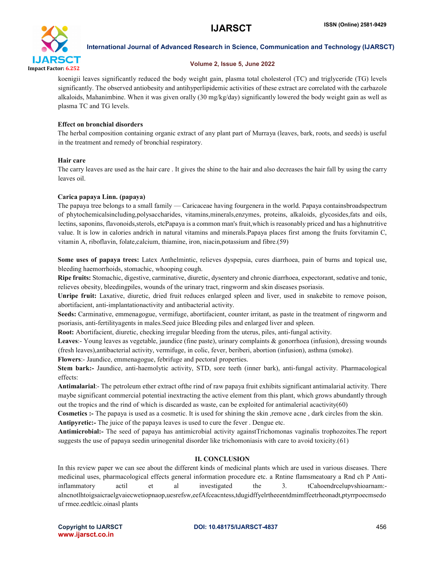

### Volume 2, Issue 5, June 2022

koenigii leaves significantly reduced the body weight gain, plasma total cholesterol (TC) and triglyceride (TG) levels significantly. The observed antiobesity and antihyperlipidemic activities of these extract are correlated with the carbazole alkaloids, Mahanimbine. When it was given orally (30 mg/kg/day) significantly lowered the body weight gain as well as plasma TC and TG levels.

# Effect on bronchial disorders

The herbal composition containing organic extract of any plant part of Murraya (leaves, bark, roots, and seeds) is useful in the treatment and remedy of bronchial respiratory.

# Hair care

The carry leaves are used as the hair care . It gives the shine to the hair and also decreases the hair fall by using the carry leaves oil.

# Carica papaya Linn. (papaya)

The papaya tree belongs to a small family — Caricaceae having fourgenera in the world. Papaya containsbroadspectrum of phytochemicalsincluding,polysaccharides, vitamins,minerals,enzymes, proteins, alkaloids, glycosides,fats and oils, lectins, saponins, flavonoids,sterols, etcPapaya is a common man's fruit,which is reasonably priced and has a highnutritive value. It is low in calories andrich in natural vitamins and minerals.Papaya places first among the fruits forvitamin C, vitamin A, riboflavin, folate,calcium, thiamine, iron, niacin,potassium and fibre.(59)

Some uses of papaya trees: Latex Anthelmintic, relieves dyspepsia, cures diarrhoea, pain of burns and topical use, bleeding haemorrhoids, stomachic, whooping cough.

Ripe fruits: Stomachic, digestive, carminative, diuretic, dysentery and chronic diarrhoea, expectorant, sedative and tonic, relieves obesity, bleedingpiles, wounds of the urinary tract, ringworm and skin diseases psoriasis.

Unripe fruit: Laxative, diuretic, dried fruit reduces enlarged spleen and liver, used in snakebite to remove poison, abortifacient, anti-implantationactivity and antibacterial activity.

Seeds: Carminative, emmenagogue, vermifuge, abortifacient, counter irritant, as paste in the treatment of ringworm and psoriasis, anti-fertilityagents in males.Seed juice Bleeding piles and enlarged liver and spleen.

Root: Abortifacient, diuretic, checking irregular bleeding from the uterus, piles, anti-fungal activity.

Leaves:- Young leaves as vegetable, jaundice (fine paste), urinary complaints & gonorrhoea (infusion), dressing wounds (fresh leaves),antibacterial activity, vermifuge, in colic, fever, beriberi, abortion (infusion), asthma (smoke).

Flowers:- Jaundice, emmenagogue, febrifuge and pectoral properties.

Stem bark:- Jaundice, anti-haemolytic activity, STD, sore teeth (inner bark), anti-fungal activity. Pharmacological effects:

Antimalarial:- The petroleum ether extract ofthe rind of raw papaya fruit exhibits significant antimalarial activity. There maybe significant commercial potential inextracting the active element from this plant, which grows abundantly through out the tropics and the rind of which is discarded as waste, can be exploited for antimalerial acactivity( $60$ )

Cosmetics :- The papaya is used as a cosmetic. It is used for shining the skin ,remove acne , dark circles from the skin. Antipyretic:- The juice of the papaya leaves is used to cure the fever . Dengue etc.

Antimicrobial:- The seed of papaya has antimicrobial activity againstTrichomonas vaginalis trophozoites.The report suggests the use of papaya seedin urinogenital disorder like trichomoniasis with care to avoid toxicity.(61)

# II. CONCLUSION

In this review paper we can see about the different kinds of medicinal plants which are used in various diseases. There medicinal uses, pharmacological effects general information procedure etc. a Rntine flamsmeatoary a Rnd ch P Antiinflammatory actil et al investigated the 3. tCahoendrcelupvshioarnam: aIncnotlhtoigsaicraelgvaiecwetiopnaop,uesrefsw,eefAfceacntess,tdugidffyelrtheeentdmimffeetrheonadt,ptyrrpoecmsedo uf rmee.eedtlcic.oinasl plants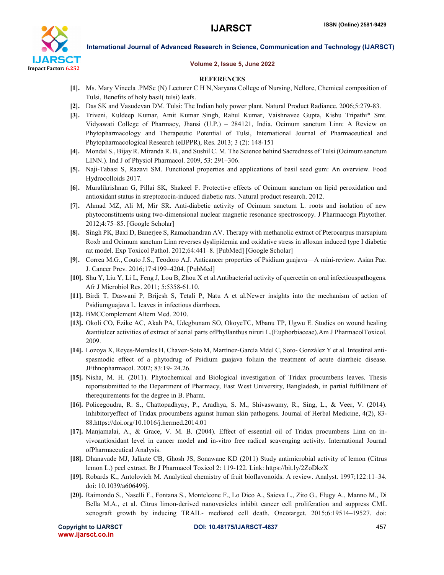

#### Volume 2, Issue 5, June 2022

#### **REFERENCES**

- [1]. Ms. Mary Vineela .PMSc (N) Lecturer C H N,Naryana College of Nursing, Nellore, Chemical composition of Tulsi, Benefits of holy basil( tulsi) leafs.
- [2]. Das SK and Vasudevan DM. Tulsi: The Indian holy power plant. Natural Product Radiance. 2006;5:279-83.
- [3]. Triveni, Kuldeep Kumar, Amit Kumar Singh, Rahul Kumar, Vaishnavee Gupta, Kishu Tripathi\* Smt. Vidyawati College of Pharmacy, Jhansi (U.P.) – 284121, India. Ocimum sanctum Linn: A Review on Phytopharmacology and Therapeutic Potential of Tulsi, International Journal of Pharmaceutical and Phytopharmacological Research (eIJPPR), Res. 2013; 3 (2): 148-151
- [4]. Mondal S., Bijay R. Miranda R. B., and Sushil C. M. The Science behind Sacredness of Tulsi (Ocimum sanctum LINN.). Ind J of Physiol Pharmacol. 2009, 53: 291–306.
- [5]. Naji-Tabasi S, Razavi SM. Functional properties and applications of basil seed gum: An overview. Food Hydrocolloids 2017.
- [6]. Muralikrishnan G, Pillai SK, Shakeel F. Protective effects of Ocimum sanctum on lipid peroxidation and antioxidant status in streptozocin-induced diabetic rats. Natural product research. 2012.
- [7]. Ahmad MZ, Ali M, Mir SR. Anti-diabetic activity of Ocimum sanctum L. roots and isolation of new phytoconstituents using two-dimensional nuclear magnetic resonance spectroscopy. J Pharmacogn Phytother. 2012;4:75–85. [Google Scholar]
- [8]. Singh PK, Baxi D, Banerjee S, Ramachandran AV. Therapy with methanolic extract of Pterocarpus marsupium Roxb and Ocimum sanctum Linn reverses dyslipidemia and oxidative stress in alloxan induced type I diabetic rat model. Exp Toxicol Pathol. 2012;64:441–8. [PubMed] [Google Scholar]
- [9]. Correa M.G., Couto J.S., Teodoro A.J. Anticancer properties of Psidium guajava—A mini-review. Asian Pac. J. Cancer Prev. 2016;17:4199–4204. [PubMed]
- [10]. Shu Y, Liu Y, Li L, Feng J, Lou B, Zhou X et al.Antibacterial activity of quercetin on oral infectiouspathogens. Afr J Microbiol Res. 2011; 5:5358-61.10.
- [11]. Birdi T, Daswani P, Brijesh S, Tetali P, Natu A et al.Newer insights into the mechanism of action of Psidiumguajava L. leaves in infectious diarrhoea.
- [12]. BMCComplement Altern Med. 2010.
- [13]. Okoli CO, Ezike AC, Akah PA, Udegbunam SO, OkoyeTC, Mbanu TP, Ugwu E. Studies on wound healing &antiulcer activities of extract of aerial parts ofPhyllanthus niruri L.(Euphorbiaceae).Am J PharmacolToxicol. 2009.
- [14]. Lozoya X, Reyes-Morales H, Chavez-Soto M, Martínez-García Mdel C, Soto- González Y et al. Intestinal antispasmodic effect of a phytodrug of Psidium guajava foliain the treatment of acute diarrheic disease. JEthnopharmacol. 2002; 83:19- 24.26.
- [15]. Nisha, M. H. (2011). Phytochemical and Biological investigation of Tridax procumbens leaves. Thesis reportsubmitted to the Department of Pharmacy, East West University, Bangladesh, in partial fulfillment of therequirements for the degree in B. Pharm.
- [16]. Policegoudra, R. S., Chattopadhyay, P., Aradhya, S. M., Shivaswamy, R., Sing, L., & Veer, V. (2014). Inhibitoryeffect of Tridax procumbens against human skin pathogens. Journal of Herbal Medicine, 4(2), 83- 88.https://doi.org/10.1016/j.hermed.2014.01
- [17]. Manjamalai, A., & Grace, V. M. B. (2004). Effect of essential oil of Tridax procumbens Linn on invivoantioxidant level in cancer model and in-vitro free radical scavenging activity. International Journal ofPharmaceutical Analysis.
- [18]. Dhanavade MJ, Jalkute CB, Ghosh JS, Sonawane KD (2011) Study antimicrobial activity of lemon (Citrus lemon L.) peel extract. Br J Pharmacol Toxicol 2: 119-122. Link: https://bit.ly/2ZoDkzX
- [19]. Robards K., Antolovich M. Analytical chemistry of fruit bioflavonoids. A review. Analyst. 1997;122:11–34. doi: 10.1039/a606499j.
- [20]. Raimondo S., Naselli F., Fontana S., Monteleone F., Lo Dico A., Saieva L., Zito G., Flugy A., Manno M., Di Bella M.A., et al. Citrus limon-derived nanovesicles inhibit cancer cell proliferation and suppress CML xenograft growth by inducing TRAIL- mediated cell death. Oncotarget. 2015;6:19514–19527. doi: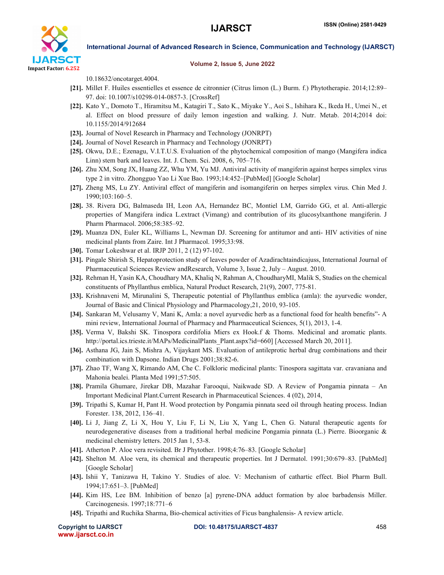

#### Volume 2, Issue 5, June 2022

10.18632/oncotarget.4004.

- [21]. Millet F. Huiles essentielles et essence de citronnier (Citrus limon (L.) Burm. f.) Phytotherapie. 2014;12:89– 97. doi: 10.1007/s10298-014-0857-3. [CrossRef]
- [22]. Kato Y., Domoto T., Hiramitsu M., Katagiri T., Sato K., Miyake Y., Aoi S., Ishihara K., Ikeda H., Umei N., et al. Effect on blood pressure of daily lemon ingestion and walking. J. Nutr. Metab. 2014;2014 doi: 10.1155/2014/912684
- [23]. Journal of Novel Research in Pharmacy and Technology (JONRPT)
- [24]. Journal of Novel Research in Pharmacy and Technology (JONRPT)
- [25]. Okwu, D.E.; Ezenagu, V.I.T.U.S. Evaluation of the phytochemical composition of mango (Mangifera indica Linn) stem bark and leaves. Int. J. Chem. Sci. 2008, 6, 705–716.
- [26]. Zhu XM, Song JX, Huang ZZ, Whu YM, Yu MJ. Antiviral activity of mangiferin against herpes simplex virus type 2 in vitro. Zhongguo Yao Li Xue Bao. 1993;14:452–[PubMed] [Google Scholar]
- [27]. Zheng MS, Lu ZY. Antiviral effect of mangiferin and isomangiferin on herpes simplex virus. Chin Med J. 1990;103:160–5.
- [28]. 38. Rivera DG, Balmaseda IH, Leon AA, Hernandez BC, Montiel LM, Garrido GG, et al. Anti-allergic properties of Mangifera indica L.extract (Vimang) and contribution of its glucosylxanthone mangiferin. J Pharm Pharmacol. 2006;58:385–92.
- [29]. Muanza DN, Euler KL, Williams L, Newman DJ. Screening for antitumor and anti- HIV activities of nine medicinal plants from Zaire. Int J Pharmacol. 1995;33:98.
- [30]. Tomar Lokeshwar et al. IRJP 2011, 2 (12) 97-102.
- [31]. Pingale Shirish S, Hepatoprotection study of leaves powder of Azadirachtaindicajuss, International Journal of Pharmaceutical Sciences Review andResearch, Volume 3, Issue 2, July – August. 2010.
- [32]. Rehman H, Yasin KA, Choudhary MA, Khaliq N, Rahman A, ChoudharyMI, Malik S, Studies on the chemical constituents of Phyllanthus emblica, Natural Product Research, 21(9), 2007, 775-81.
- [33]. Krishnaveni M, Mirunalini S, Therapeutic potential of Phyllanthus emblica (amla): the ayurvedic wonder, Journal of Basic and Clinical Physiology and Pharmacology,21, 2010, 93-105.
- [34]. Sankaran M, Velusamy V, Mani K, Amla: a novel ayurvedic herb as a functional food for health benefits"- A mini review, International Journal of Pharmacy and Pharmaceutical Sciences, 5(1), 2013, 1-4.
- [35]. Verma V, Bakshi SK. Tinospora cordifolia Miers ex Hook.f & Thoms. Medicinal and aromatic plants. http://portal.ics.trieste.it/MAPs/MedicinalPlants\_Plant.aspx?id=660] [Accessed March 20, 2011].
- [36]. Asthana JG, Jain S, Mishra A, Vijaykant MS. Evaluation of antileprotic herbal drug combinations and their combination with Dapsone. Indian Drugs 2001;38:82-6.
- [37]. Zhao TF, Wang X, Rimando AM, Che C. Folkloric medicinal plants: Tinospora sagittata var. cravaniana and Mahonia bealei. Planta Med 1991;57:505.
- [38]. Pramila Ghumare, Jirekar DB, Mazahar Farooqui, Naikwade SD. A Review of Pongamia pinnata An Important Medicinal Plant.Current Research in Pharmaceutical Sciences. 4 (02), 2014,
- [39]. Tripathi S, Kumar H, Pant H. Wood protection by Pongamia pinnata seed oil through heating process. Indian Forester. 138, 2012, 136–41.
- [40]. Li J, Jiang Z, Li X, Hou Y, Liu F, Li N, Liu X, Yang L, Chen G. Natural therapeutic agents for neurodegenerative diseases from a traditional herbal medicine Pongamia pinnata (L.) Pierre. Bioorganic & medicinal chemistry letters. 2015 Jan 1, 53-8.
- [41]. Atherton P. Aloe vera revisited. Br J Phytother. 1998;4:76–83. [Google Scholar]
- [42]. Shelton M. Aloe vera, its chemical and therapeutic properties. Int J Dermatol. 1991;30:679–83. [PubMed] [Google Scholar]
- [43]. Ishii Y, Tanizawa H, Takino Y. Studies of aloe. V: Mechanism of cathartic effect. Biol Pharm Bull. 1994;17:651–3. [PubMed]
- [44]. Kim HS, Lee BM. Inhibition of benzo [a] pyrene-DNA adduct formation by aloe barbadensis Miller. Carcinogenesis. 1997;18:771–6
- [45]. Tripathi and Ruchika Sharma, Bio-chemical activities of Ficus banghalensis- A review article.